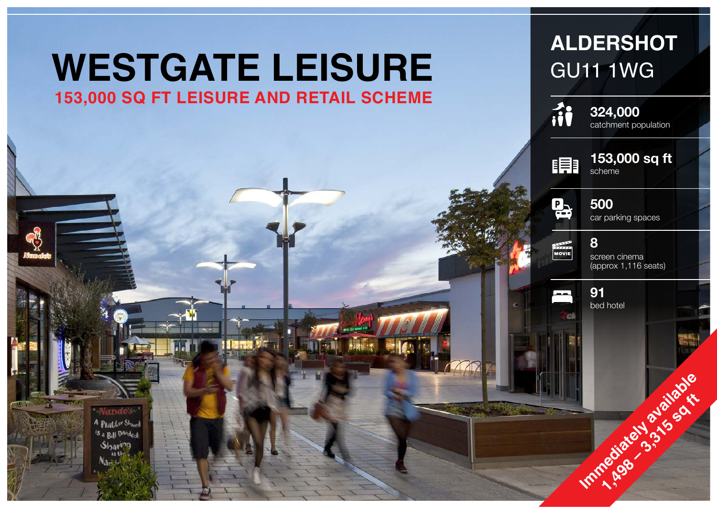